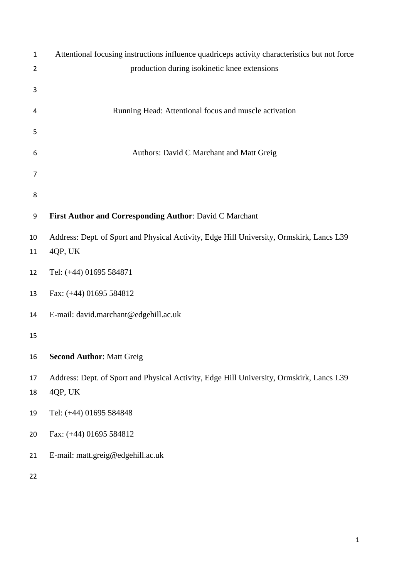| $\mathbf{1}$   | Attentional focusing instructions influence quadriceps activity characteristics but not force |  |  |  |  |  |
|----------------|-----------------------------------------------------------------------------------------------|--|--|--|--|--|
| $\overline{2}$ | production during isokinetic knee extensions                                                  |  |  |  |  |  |
| 3              |                                                                                               |  |  |  |  |  |
|                |                                                                                               |  |  |  |  |  |
| 4              | Running Head: Attentional focus and muscle activation                                         |  |  |  |  |  |
| 5              |                                                                                               |  |  |  |  |  |
|                |                                                                                               |  |  |  |  |  |
| 6              | Authors: David C Marchant and Matt Greig                                                      |  |  |  |  |  |
| 7              |                                                                                               |  |  |  |  |  |
| 8              |                                                                                               |  |  |  |  |  |
|                |                                                                                               |  |  |  |  |  |
| 9              | First Author and Corresponding Author: David C Marchant                                       |  |  |  |  |  |
| 10             | Address: Dept. of Sport and Physical Activity, Edge Hill University, Ormskirk, Lancs L39      |  |  |  |  |  |
| 11             | 4QP, UK                                                                                       |  |  |  |  |  |
| 12             | Tel: (+44) 01695 584871                                                                       |  |  |  |  |  |
| 13             | Fax: (+44) 01695 584812                                                                       |  |  |  |  |  |
| 14             | E-mail: david.marchant@edgehill.ac.uk                                                         |  |  |  |  |  |
| 15             |                                                                                               |  |  |  |  |  |
| 16             | <b>Second Author: Matt Greig</b>                                                              |  |  |  |  |  |
| 17             | Address: Dept. of Sport and Physical Activity, Edge Hill University, Ormskirk, Lancs L39      |  |  |  |  |  |
| 18             | 4QP, UK                                                                                       |  |  |  |  |  |
| 19             | Tel: (+44) 01695 584848                                                                       |  |  |  |  |  |
| 20             | Fax: (+44) 01695 584812                                                                       |  |  |  |  |  |
| 21             | E-mail: matt.greig@edgehill.ac.uk                                                             |  |  |  |  |  |
| 22             |                                                                                               |  |  |  |  |  |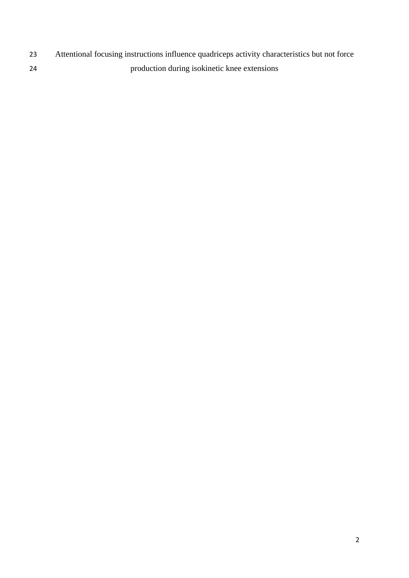- Attentional focusing instructions influence quadriceps activity characteristics but not force
- production during isokinetic knee extensions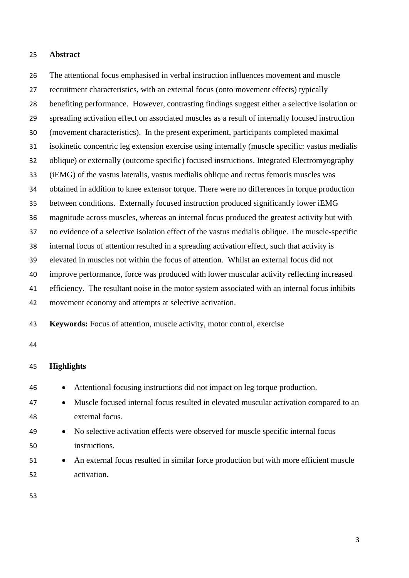#### **Abstract**

 The attentional focus emphasised in verbal instruction influences movement and muscle recruitment characteristics, with an external focus (onto movement effects) typically benefiting performance. However, contrasting findings suggest either a selective isolation or spreading activation effect on associated muscles as a result of internally focused instruction (movement characteristics). In the present experiment, participants completed maximal isokinetic concentric leg extension exercise using internally (muscle specific: vastus medialis oblique) or externally (outcome specific) focused instructions. Integrated Electromyography (iEMG) of the vastus lateralis, vastus medialis oblique and rectus femoris muscles was obtained in addition to knee extensor torque. There were no differences in torque production between conditions. Externally focused instruction produced significantly lower iEMG magnitude across muscles, whereas an internal focus produced the greatest activity but with no evidence of a selective isolation effect of the vastus medialis oblique. The muscle-specific internal focus of attention resulted in a spreading activation effect, such that activity is elevated in muscles not within the focus of attention. Whilst an external focus did not improve performance, force was produced with lower muscular activity reflecting increased efficiency. The resultant noise in the motor system associated with an internal focus inhibits movement economy and attempts at selective activation.

**Keywords:** Focus of attention, muscle activity, motor control, exercise

### **Highlights**

| 46 | • Attentional focusing instructions did not impact on leg torque production.            |
|----|-----------------------------------------------------------------------------------------|
| 47 | • Muscle focused internal focus resulted in elevated muscular activation compared to an |
| 48 | external focus.                                                                         |
| 49 | • No selective activation effects were observed for muscle specific internal focus      |
| 50 | instructions.                                                                           |
| 51 | • An external focus resulted in similar force production but with more efficient muscle |
| 52 | activation.                                                                             |
|    |                                                                                         |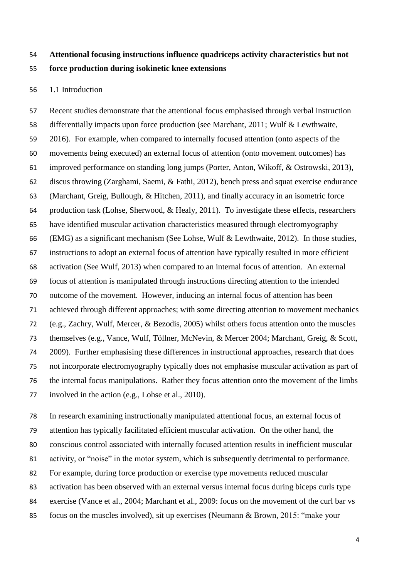# **Attentional focusing instructions influence quadriceps activity characteristics but not force production during isokinetic knee extensions**

## 1.1 Introduction

 Recent studies demonstrate that the attentional focus emphasised through verbal instruction differentially impacts upon force production (see Marchant, 2011; Wulf & Lewthwaite, 2016). For example, when compared to internally focused attention (onto aspects of the movements being executed) an external focus of attention (onto movement outcomes) has improved performance on standing long jumps (Porter, Anton, Wikoff, & Ostrowski, 2013), discus throwing (Zarghami, Saemi, & Fathi, 2012), bench press and squat exercise endurance (Marchant, Greig, Bullough, & Hitchen, 2011), and finally accuracy in an isometric force production task (Lohse, Sherwood, & Healy, 2011). To investigate these effects, researchers have identified muscular activation characteristics measured through electromyography (EMG) as a significant mechanism (See Lohse, Wulf & Lewthwaite, 2012). In those studies, instructions to adopt an external focus of attention have typically resulted in more efficient activation (See Wulf, 2013) when compared to an internal focus of attention. An external focus of attention is manipulated through instructions directing attention to the intended outcome of the movement. However, inducing an internal focus of attention has been achieved through different approaches; with some directing attention to movement mechanics (e.g., Zachry, Wulf, Mercer, & Bezodis, 2005) whilst others focus attention onto the muscles themselves (e.g., Vance, Wulf, Töllner, McNevin, & Mercer 2004; Marchant, Greig, & Scott, 2009). Further emphasising these differences in instructional approaches, research that does not incorporate electromyography typically does not emphasise muscular activation as part of the internal focus manipulations. Rather they focus attention onto the movement of the limbs involved in the action (e.g., Lohse et al., 2010).

 In research examining instructionally manipulated attentional focus, an external focus of attention has typically facilitated efficient muscular activation. On the other hand, the conscious control associated with internally focused attention results in inefficient muscular activity, or "noise" in the motor system, which is subsequently detrimental to performance. For example, during force production or exercise type movements reduced muscular activation has been observed with an external versus internal focus during biceps curls type exercise (Vance et al., 2004; Marchant et al., 2009: focus on the movement of the curl bar vs focus on the muscles involved), sit up exercises (Neumann & Brown, 2015: "make your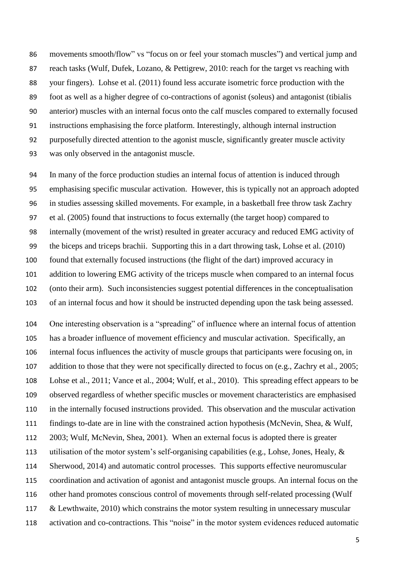movements smooth/flow" vs "focus on or feel your stomach muscles") and vertical jump and 87 reach tasks (Wulf, Dufek, Lozano, & Pettigrew, 2010: reach for the target vs reaching with your fingers). Lohse et al. (2011) found less accurate isometric force production with the foot as well as a higher degree of co-contractions of agonist (soleus) and antagonist (tibialis anterior) muscles with an internal focus onto the calf muscles compared to externally focused instructions emphasising the force platform. Interestingly, although internal instruction purposefully directed attention to the agonist muscle, significantly greater muscle activity was only observed in the antagonist muscle.

 In many of the force production studies an internal focus of attention is induced through emphasising specific muscular activation. However, this is typically not an approach adopted in studies assessing skilled movements. For example, in a basketball free throw task Zachry et al. (2005) found that instructions to focus externally (the target hoop) compared to internally (movement of the wrist) resulted in greater accuracy and reduced EMG activity of the biceps and triceps brachii. Supporting this in a dart throwing task, Lohse et al. (2010) found that externally focused instructions (the flight of the dart) improved accuracy in addition to lowering EMG activity of the triceps muscle when compared to an internal focus (onto their arm). Such inconsistencies suggest potential differences in the conceptualisation of an internal focus and how it should be instructed depending upon the task being assessed.

 One interesting observation is a "spreading" of influence where an internal focus of attention has a broader influence of movement efficiency and muscular activation. Specifically, an internal focus influences the activity of muscle groups that participants were focusing on, in addition to those that they were not specifically directed to focus on (e.g., Zachry et al., 2005; Lohse et al., 2011; Vance et al., 2004; Wulf, et al., 2010). This spreading effect appears to be observed regardless of whether specific muscles or movement characteristics are emphasised in the internally focused instructions provided. This observation and the muscular activation findings to-date are in line with the constrained action hypothesis (McNevin, Shea, & Wulf, 2003; Wulf, McNevin, Shea, 2001). When an external focus is adopted there is greater utilisation of the motor system's self-organising capabilities (e.g., Lohse, Jones, Healy, & Sherwood, 2014) and automatic control processes. This supports effective neuromuscular coordination and activation of agonist and antagonist muscle groups. An internal focus on the other hand promotes conscious control of movements through self-related processing (Wulf & Lewthwaite, 2010) which constrains the motor system resulting in unnecessary muscular activation and co-contractions. This "noise" in the motor system evidences reduced automatic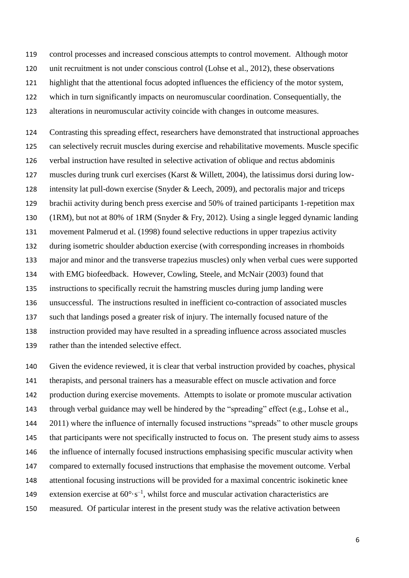control processes and increased conscious attempts to control movement. Although motor

unit recruitment is not under conscious control (Lohse et al., 2012), these observations

highlight that the attentional focus adopted influences the efficiency of the motor system,

which in turn significantly impacts on neuromuscular coordination. Consequentially, the

alterations in neuromuscular activity coincide with changes in outcome measures.

 Contrasting this spreading effect, researchers have demonstrated that instructional approaches can selectively recruit muscles during exercise and rehabilitative movements. Muscle specific verbal instruction have resulted in selective activation of oblique and rectus abdominis muscles during trunk curl exercises (Karst & Willett, 2004), the latissimus dorsi during low- intensity lat pull-down exercise (Snyder & Leech, 2009), and pectoralis major and triceps brachii activity during bench press exercise and 50% of trained participants 1-repetition max (1RM), but not at 80% of 1RM (Snyder & Fry, 2012). Using a single legged dynamic landing movement Palmerud et al. (1998) found selective reductions in upper trapezius activity during isometric shoulder abduction exercise (with corresponding increases in rhomboids major and minor and the transverse trapezius muscles) only when verbal cues were supported with EMG biofeedback. However, Cowling, Steele, and McNair (2003) found that instructions to specifically recruit the hamstring muscles during jump landing were unsuccessful. The instructions resulted in inefficient co-contraction of associated muscles such that landings posed a greater risk of injury. The internally focused nature of the instruction provided may have resulted in a spreading influence across associated muscles rather than the intended selective effect.

 Given the evidence reviewed, it is clear that verbal instruction provided by coaches, physical therapists, and personal trainers has a measurable effect on muscle activation and force production during exercise movements. Attempts to isolate or promote muscular activation through verbal guidance may well be hindered by the "spreading" effect (e.g., Lohse et al., 2011) where the influence of internally focused instructions "spreads" to other muscle groups that participants were not specifically instructed to focus on. The present study aims to assess the influence of internally focused instructions emphasising specific muscular activity when compared to externally focused instructions that emphasise the movement outcome. Verbal attentional focusing instructions will be provided for a maximal concentric isokinetic knee 149 extension exercise at  $60^{\circ} \cdot s^{-1}$ , whilst force and muscular activation characteristics are measured. Of particular interest in the present study was the relative activation between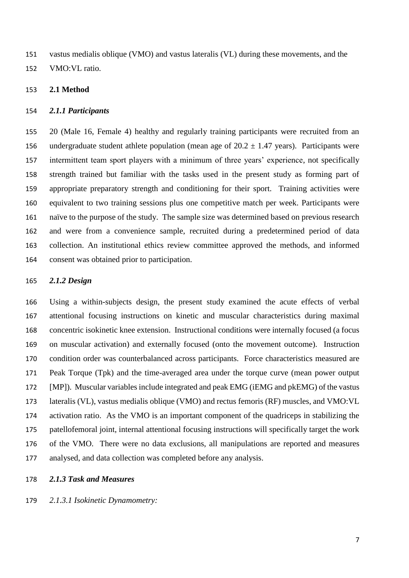vastus medialis oblique (VMO) and vastus lateralis (VL) during these movements, and the VMO:VL ratio.

### **2.1 Method**

#### *2.1.1 Participants*

 20 (Male 16, Female 4) healthy and regularly training participants were recruited from an 156 undergraduate student athlete population (mean age of  $20.2 \pm 1.47$  years). Participants were intermittent team sport players with a minimum of three years' experience, not specifically strength trained but familiar with the tasks used in the present study as forming part of appropriate preparatory strength and conditioning for their sport. Training activities were equivalent to two training sessions plus one competitive match per week. Participants were naïve to the purpose of the study. The sample size was determined based on previous research and were from a convenience sample, recruited during a predetermined period of data collection. An institutional ethics review committee approved the methods, and informed consent was obtained prior to participation.

### *2.1.2 Design*

 Using a within-subjects design, the present study examined the acute effects of verbal attentional focusing instructions on kinetic and muscular characteristics during maximal concentric isokinetic knee extension. Instructional conditions were internally focused (a focus on muscular activation) and externally focused (onto the movement outcome). Instruction condition order was counterbalanced across participants. Force characteristics measured are Peak Torque (Tpk) and the time-averaged area under the torque curve (mean power output [MP]). Muscular variables include integrated and peak EMG (iEMG and pkEMG) of the vastus lateralis (VL), vastus medialis oblique (VMO) and rectus femoris (RF) muscles, and VMO:VL activation ratio. As the VMO is an important component of the quadriceps in stabilizing the patellofemoral joint, internal attentional focusing instructions will specifically target the work of the VMO. There were no data exclusions, all manipulations are reported and measures analysed, and data collection was completed before any analysis.

#### *2.1.3 Task and Measures*

*2.1.3.1 Isokinetic Dynamometry:*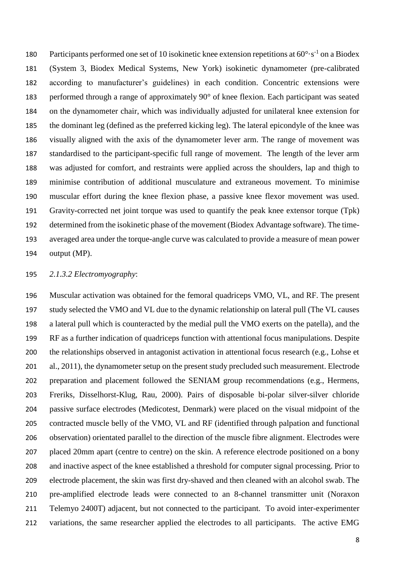180 Participants performed one set of 10 isokinetic knee extension repetitions at  $60^{\circ} \cdot s^{-1}$  on a Biodex (System 3, Biodex Medical Systems, New York) isokinetic dynamometer (pre-calibrated according to manufacturer's guidelines) in each condition. Concentric extensions were performed through a range of approximately 90° of knee flexion. Each participant was seated on the dynamometer chair, which was individually adjusted for unilateral knee extension for the dominant leg (defined as the preferred kicking leg). The lateral epicondyle of the knee was visually aligned with the axis of the dynamometer lever arm. The range of movement was standardised to the participant-specific full range of movement. The length of the lever arm was adjusted for comfort, and restraints were applied across the shoulders, lap and thigh to minimise contribution of additional musculature and extraneous movement. To minimise muscular effort during the knee flexion phase, a passive knee flexor movement was used. Gravity-corrected net joint torque was used to quantify the peak knee extensor torque (Tpk) determined from the isokinetic phase of the movement (Biodex Advantage software). The time- averaged area under the torque-angle curve was calculated to provide a measure of mean power output (MP).

# *2.1.3.2 Electromyography*:

 Muscular activation was obtained for the femoral quadriceps VMO, VL, and RF. The present study selected the VMO and VL due to the dynamic relationship on lateral pull (The VL causes a lateral pull which is counteracted by the medial pull the VMO exerts on the patella), and the RF as a further indication of quadriceps function with attentional focus manipulations. Despite the relationships observed in antagonist activation in attentional focus research (e.g., Lohse et al., 2011), the dynamometer setup on the present study precluded such measurement. Electrode preparation and placement followed the SENIAM group recommendations (e.g., Hermens, Freriks, Disselhorst-Klug, Rau, 2000). Pairs of disposable bi-polar silver-silver chloride passive surface electrodes (Medicotest, Denmark) were placed on the visual midpoint of the contracted muscle belly of the VMO, VL and RF (identified through palpation and functional observation) orientated parallel to the direction of the muscle fibre alignment. Electrodes were placed 20mm apart (centre to centre) on the skin. A reference electrode positioned on a bony and inactive aspect of the knee established a threshold for computer signal processing. Prior to electrode placement, the skin was first dry-shaved and then cleaned with an alcohol swab. The pre-amplified electrode leads were connected to an 8-channel transmitter unit (Noraxon Telemyo 2400T) adjacent, but not connected to the participant. To avoid inter-experimenter variations, the same researcher applied the electrodes to all participants. The active EMG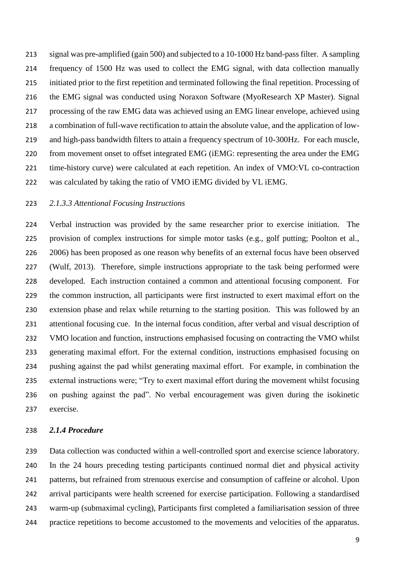signal was pre-amplified (gain 500) and subjected to a 10-1000 Hz band-pass filter. A sampling frequency of 1500 Hz was used to collect the EMG signal, with data collection manually initiated prior to the first repetition and terminated following the final repetition. Processing of the EMG signal was conducted using Noraxon Software (MyoResearch XP Master). Signal processing of the raw EMG data was achieved using an EMG linear envelope, achieved using a combination of full-wave rectification to attain the absolute value, and the application of low- and high-pass bandwidth filters to attain a frequency spectrum of 10-300Hz. For each muscle, from movement onset to offset integrated EMG (iEMG: representing the area under the EMG time-history curve) were calculated at each repetition. An index of VMO:VL co-contraction was calculated by taking the ratio of VMO iEMG divided by VL iEMG.

## *2.1.3.3 Attentional Focusing Instructions*

 Verbal instruction was provided by the same researcher prior to exercise initiation. The provision of complex instructions for simple motor tasks (e.g., golf putting; Poolton et al., 2006) has been proposed as one reason why benefits of an external focus have been observed (Wulf, 2013). Therefore, simple instructions appropriate to the task being performed were developed. Each instruction contained a common and attentional focusing component. For the common instruction, all participants were first instructed to exert maximal effort on the extension phase and relax while returning to the starting position. This was followed by an attentional focusing cue. In the internal focus condition, after verbal and visual description of VMO location and function, instructions emphasised focusing on contracting the VMO whilst generating maximal effort. For the external condition, instructions emphasised focusing on pushing against the pad whilst generating maximal effort. For example, in combination the external instructions were; "Try to exert maximal effort during the movement whilst focusing on pushing against the pad". No verbal encouragement was given during the isokinetic exercise.

#### *2.1.4 Procedure*

 Data collection was conducted within a well-controlled sport and exercise science laboratory. In the 24 hours preceding testing participants continued normal diet and physical activity patterns, but refrained from strenuous exercise and consumption of caffeine or alcohol. Upon arrival participants were health screened for exercise participation. Following a standardised warm-up (submaximal cycling), Participants first completed a familiarisation session of three practice repetitions to become accustomed to the movements and velocities of the apparatus.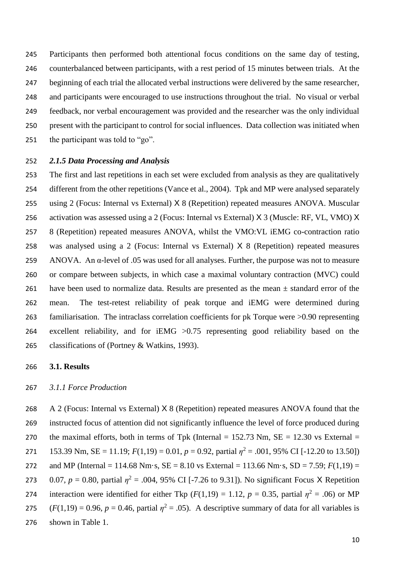Participants then performed both attentional focus conditions on the same day of testing, counterbalanced between participants, with a rest period of 15 minutes between trials. At the beginning of each trial the allocated verbal instructions were delivered by the same researcher, and participants were encouraged to use instructions throughout the trial. No visual or verbal feedback, nor verbal encouragement was provided and the researcher was the only individual present with the participant to control for social influences. Data collection was initiated when the participant was told to "go".

#### *2.1.5 Data Processing and Analysis*

 The first and last repetitions in each set were excluded from analysis as they are qualitatively 254 different from the other repetitions (Vance et al., 2004). Tpk and MP were analysed separately using 2 (Focus: Internal vs External) X 8 (Repetition) repeated measures ANOVA. Muscular activation was assessed using a 2 (Focus: Internal vs External) X 3 (Muscle: RF, VL, VMO) X 8 (Repetition) repeated measures ANOVA, whilst the VMO:VL iEMG co-contraction ratio was analysed using a 2 (Focus: Internal vs External) X 8 (Repetition) repeated measures ANOVA. An α-level of .05 was used for all analyses. Further, the purpose was not to measure or compare between subjects, in which case a maximal voluntary contraction (MVC) could 261 have been used to normalize data. Results are presented as the mean  $\pm$  standard error of the mean. The test-retest reliability of peak torque and iEMG were determined during familiarisation. The intraclass correlation coefficients for pk Torque were >0.90 representing excellent reliability, and for iEMG >0.75 representing good reliability based on the classifications of (Portney & Watkins, 1993).

# **3.1. Results**

## *3.1.1 Force Production*

 A 2 (Focus: Internal vs External) X 8 (Repetition) repeated measures ANOVA found that the instructed focus of attention did not significantly influence the level of force produced during 270 the maximal efforts, both in terms of Tpk (Internal =  $152.73$  Nm, SE =  $12.30$  vs External =  $153.39$  Nm,  $SE = 11.19$ ;  $F(1,19) = 0.01$ ,  $p = 0.92$ , partial  $\eta^2 = .001$ , 95% CI [-12.20 to 13.50]) and MP (Internal = 114.68 Nm·s, SE = 8.10 vs External = 113.66 Nm·s, SD = 7.59; *F*(1,19) = 273 0.07,  $p = 0.80$ , partial  $\eta^2 = .004$ , 95% CI [-7.26 to 9.31]). No significant Focus X Repetition 274 interaction were identified for either Tkp ( $F(1,19) = 1.12$ ,  $p = 0.35$ , partial  $\eta^2 = .06$ ) or MP  $(F(1,19) = 0.96, p = 0.46,$  partial  $\eta^2 = .05$ ). A descriptive summary of data for all variables is shown in Table 1.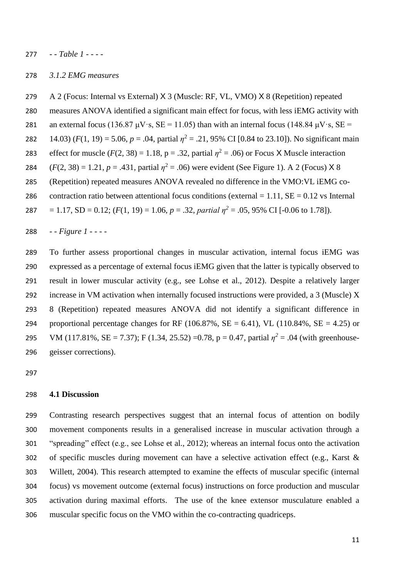*- - Table 1 - - - -*

#### *3.1.2 EMG measures*

A 2 (Focus: Internal vs External) X 3 (Muscle: RF, VL, VMO) X 8 (Repetition) repeated

- measures ANOVA identified a significant main effect for focus, with less iEMG activity with
- 281 an external focus (136.87  $\mu$ V·s, SE = 11.05) than with an internal focus (148.84  $\mu$ V·s, SE =
- 282 14.03)  $(F(1, 19) = 5.06, p = .04$ , partial  $\eta^2 = .21, 95\%$  CI [0.84 to 23.10]). No significant main
- effect for muscle  $(F(2, 38) = 1.18, p = .32,$  partial  $\eta^2 = .06$ ) or Focus X Muscle interaction
- 284  $(F(2, 38) = 1.21, p = .431,$  partial  $\eta^2 = .06$ ) were evident (See Figure 1). A 2 (Focus) X 8
- (Repetition) repeated measures ANOVA revealed no difference in the VMO:VL iEMG co-
- 286 contraction ratio between attentional focus conditions (external  $= 1.11$ , SE  $= 0.12$  vs Internal
- 287 = 1.17, SD = 0.12;  $(F(1, 19) = 1.06, p = .32, partial p^2 = .05, 95\% \text{ CI}$  [-0.06 to 1.78]).
- *- - Figure 1 - - - -*

 To further assess proportional changes in muscular activation, internal focus iEMG was expressed as a percentage of external focus iEMG given that the latter is typically observed to result in lower muscular activity (e.g., see Lohse et al., 2012). Despite a relatively larger increase in VM activation when internally focused instructions were provided, a 3 (Muscle) X 8 (Repetition) repeated measures ANOVA did not identify a significant difference in 294 proportional percentage changes for RF (106.87%,  $SE = 6.41$ ), VL (110.84%,  $SE = 4.25$ ) or 295 VM (117.81%, SE = 7.37); F (1.34, 25.52) =0.78, p = 0.47, partial  $\eta^2$  = .04 (with greenhouse-geisser corrections).

# **4.1 Discussion**

 Contrasting research perspectives suggest that an internal focus of attention on bodily movement components results in a generalised increase in muscular activation through a "spreading" effect (e.g., see Lohse et al., 2012); whereas an internal focus onto the activation of specific muscles during movement can have a selective activation effect (e.g., Karst & Willett, 2004). This research attempted to examine the effects of muscular specific (internal focus) vs movement outcome (external focus) instructions on force production and muscular activation during maximal efforts. The use of the knee extensor musculature enabled a muscular specific focus on the VMO within the co-contracting quadriceps.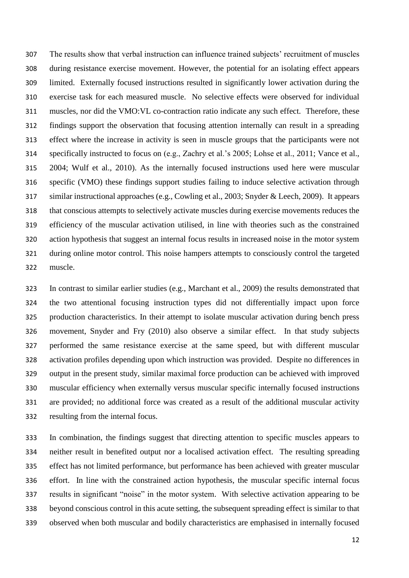The results show that verbal instruction can influence trained subjects' recruitment of muscles during resistance exercise movement. However, the potential for an isolating effect appears limited. Externally focused instructions resulted in significantly lower activation during the exercise task for each measured muscle. No selective effects were observed for individual muscles, nor did the VMO:VL co-contraction ratio indicate any such effect. Therefore, these findings support the observation that focusing attention internally can result in a spreading effect where the increase in activity is seen in muscle groups that the participants were not specifically instructed to focus on (e.g., Zachry et al.'s 2005; Lohse et al., 2011; Vance et al., 2004; Wulf et al., 2010). As the internally focused instructions used here were muscular specific (VMO) these findings support studies failing to induce selective activation through similar instructional approaches (e.g., Cowling et al., 2003; Snyder & Leech, 2009). It appears that conscious attempts to selectively activate muscles during exercise movements reduces the efficiency of the muscular activation utilised, in line with theories such as the constrained action hypothesis that suggest an internal focus results in increased noise in the motor system during online motor control. This noise hampers attempts to consciously control the targeted muscle.

 In contrast to similar earlier studies (e.g., Marchant et al., 2009) the results demonstrated that the two attentional focusing instruction types did not differentially impact upon force production characteristics. In their attempt to isolate muscular activation during bench press movement, Snyder and Fry (2010) also observe a similar effect. In that study subjects performed the same resistance exercise at the same speed, but with different muscular activation profiles depending upon which instruction was provided. Despite no differences in output in the present study, similar maximal force production can be achieved with improved muscular efficiency when externally versus muscular specific internally focused instructions are provided; no additional force was created as a result of the additional muscular activity resulting from the internal focus.

 In combination, the findings suggest that directing attention to specific muscles appears to neither result in benefited output nor a localised activation effect. The resulting spreading effect has not limited performance, but performance has been achieved with greater muscular effort. In line with the constrained action hypothesis, the muscular specific internal focus results in significant "noise" in the motor system. With selective activation appearing to be beyond conscious control in this acute setting, the subsequent spreading effect is similar to that observed when both muscular and bodily characteristics are emphasised in internally focused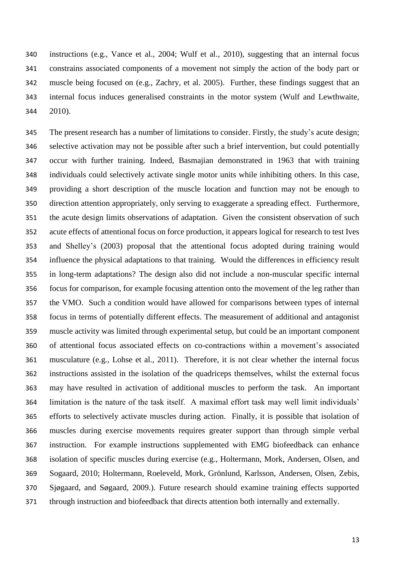instructions (e.g., Vance et al., 2004; Wulf et al., 2010), suggesting that an internal focus constrains associated components of a movement not simply the action of the body part or muscle being focused on (e.g., Zachry, et al. 2005). Further, these findings suggest that an internal focus induces generalised constraints in the motor system (Wulf and Lewthwaite, 2010).

 The present research has a number of limitations to consider. Firstly, the study's acute design; selective activation may not be possible after such a brief intervention, but could potentially occur with further training. Indeed, Basmajian demonstrated in 1963 that with training individuals could selectively activate single motor units while inhibiting others. In this case, providing a short description of the muscle location and function may not be enough to direction attention appropriately, only serving to exaggerate a spreading effect. Furthermore, the acute design limits observations of adaptation. Given the consistent observation of such acute effects of attentional focus on force production, it appears logical for research to test Ives and Shelley's (2003) proposal that the attentional focus adopted during training would influence the physical adaptations to that training. Would the differences in efficiency result in long-term adaptations? The design also did not include a non-muscular specific internal focus for comparison, for example focusing attention onto the movement of the leg rather than the VMO. Such a condition would have allowed for comparisons between types of internal focus in terms of potentially different effects. The measurement of additional and antagonist muscle activity was limited through experimental setup, but could be an important component of attentional focus associated effects on co-contractions within a movement's associated musculature (e.g., Lohse et al., 2011). Therefore, it is not clear whether the internal focus instructions assisted in the isolation of the quadriceps themselves, whilst the external focus may have resulted in activation of additional muscles to perform the task. An important limitation is the nature of the task itself. A maximal effort task may well limit individuals' efforts to selectively activate muscles during action. Finally, it is possible that isolation of muscles during exercise movements requires greater support than through simple verbal instruction. For example instructions supplemented with EMG biofeedback can enhance isolation of specific muscles during exercise (e.g., Holtermann, Mork, Andersen, Olsen, and Sogaard, 2010; Holtermann, Roeleveld, Mork, Grönlund, Karlsson, Andersen, Olsen, Zebis, Sjøgaard, and Søgaard, 2009.). Future research should examine training effects supported through instruction and biofeedback that directs attention both internally and externally.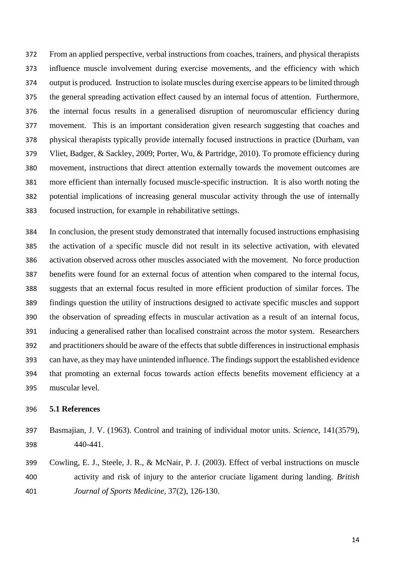From an applied perspective, verbal instructions from coaches, trainers, and physical therapists influence muscle involvement during exercise movements, and the efficiency with which output is produced. Instruction to isolate muscles during exercise appears to be limited through the general spreading activation effect caused by an internal focus of attention. Furthermore, the internal focus results in a generalised disruption of neuromuscular efficiency during movement. This is an important consideration given research suggesting that coaches and physical therapists typically provide internally focused instructions in practice (Durham, van Vliet, Badger, & Sackley, 2009; Porter, Wu, & Partridge, 2010). To promote efficiency during movement, instructions that direct attention externally towards the movement outcomes are more efficient than internally focused muscle-specific instruction. It is also worth noting the potential implications of increasing general muscular activity through the use of internally focused instruction, for example in rehabilitative settings.

 In conclusion, the present study demonstrated that internally focused instructions emphasising the activation of a specific muscle did not result in its selective activation, with elevated activation observed across other muscles associated with the movement. No force production benefits were found for an external focus of attention when compared to the internal focus, suggests that an external focus resulted in more efficient production of similar forces. The findings question the utility of instructions designed to activate specific muscles and support the observation of spreading effects in muscular activation as a result of an internal focus, inducing a generalised rather than localised constraint across the motor system. Researchers and practitioners should be aware of the effects that subtle differences in instructional emphasis can have, as they may have unintended influence. The findings support the established evidence that promoting an external focus towards action effects benefits movement efficiency at a muscular level.

## **5.1 References**

- Basmajian, J. V. (1963). Control and training of individual motor units. *Science*, 141(3579), 440-441.
- Cowling, E. J., Steele, J. R., & McNair, P. J. (2003). Effect of verbal instructions on muscle activity and risk of injury to the anterior cruciate ligament during landing. *British Journal of Sports Medicine*, 37(2), 126-130.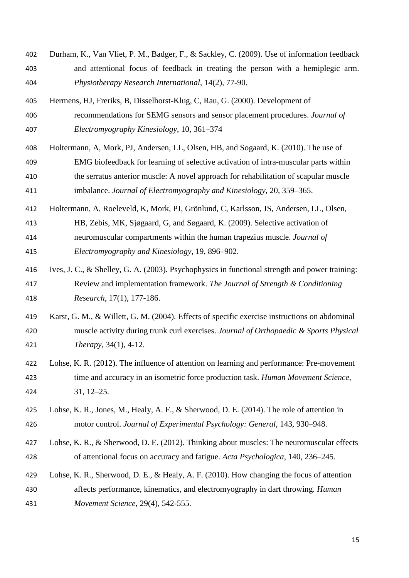- Durham, K., Van Vliet, P. M., Badger, F., & Sackley, C. (2009). Use of information feedback and attentional focus of feedback in treating the person with a hemiplegic arm. *Physiotherapy Research International*, 14(2), 77-90.
- Hermens, HJ, Freriks, B, Disselhorst-Klug, C, Rau, G. (2000). Development of recommendations for SEMG sensors and sensor placement procedures. *Journal of Electromyography Kinesiology*, 10, 361–374
- Holtermann, A, Mork, PJ, Andersen, LL, Olsen, HB, and Sogaard, K. (2010). The use of EMG biofeedback for learning of selective activation of intra-muscular parts within the serratus anterior muscle: A novel approach for rehabilitation of scapular muscle imbalance. *Journal of Electromyography and Kinesiology*, 20, 359–365.
- Holtermann, A, Roeleveld, K, Mork, PJ, Grönlund, C, Karlsson, JS, Andersen, LL, Olsen, HB, Zebis, MK, Sjøgaard, G, and Søgaard, K. (2009). Selective activation of
- neuromuscular compartments within the human trapezius muscle. *Journal of Electromyography and Kinesiology*, 19, 896–902.
- Ives, J. C., & Shelley, G. A. (2003). Psychophysics in functional strength and power training: Review and implementation framework. *The Journal of Strength & Conditioning Research*, 17(1), 177-186.
- Karst, G. M., & Willett, G. M. (2004). Effects of specific exercise instructions on abdominal muscle activity during trunk curl exercises. *Journal of Orthopaedic & Sports Physical Therapy*, 34(1), 4-12.
- Lohse, K. R. (2012). The influence of attention on learning and performance: Pre-movement time and accuracy in an isometric force production task. *Human Movement Science*, 31, 12–25.
- Lohse, K. R., Jones, M., Healy, A. F., & Sherwood, D. E. (2014). The role of attention in motor control. *Journal of Experimental Psychology: General*, 143, 930–948.
- Lohse, K. R., & Sherwood, D. E. (2012). Thinking about muscles: The neuromuscular effects of attentional focus on accuracy and fatigue. *Acta Psychologica*, 140, 236–245.
- Lohse, K. R., Sherwood, D. E., & Healy, A. F. (2010). How changing the focus of attention affects performance, kinematics, and electromyography in dart throwing. *Human Movement Science*, 29(4), 542-555.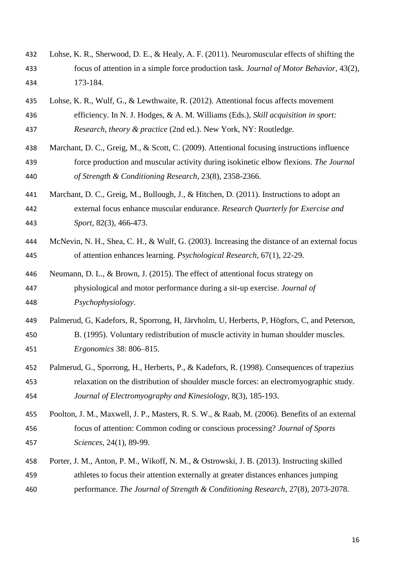- Lohse, K. R., Sherwood, D. E., & Healy, A. F. (2011). Neuromuscular effects of shifting the focus of attention in a simple force production task. *Journal of Motor Behavior*, 43(2), 173-184.
- Lohse, K. R., Wulf, G., & Lewthwaite, R. (2012). Attentional focus affects movement efficiency. In N. J. Hodges, & A. M. Williams (Eds.), *Skill acquisition in sport: Research, theory & practice* (2nd ed.). New York, NY: Routledge.
- Marchant, D. C., Greig, M., & Scott, C. (2009). Attentional focusing instructions influence force production and muscular activity during isokinetic elbow flexions. *The Journal of Strength & Conditioning Research*, 23(8), 2358-2366.
- Marchant, D. C., Greig, M., Bullough, J., & Hitchen, D. (2011). Instructions to adopt an external focus enhance muscular endurance. *Research Quarterly for Exercise and Sport*, 82(3), 466-473.
- McNevin, N. H., Shea, C. H., & Wulf, G. (2003). Increasing the distance of an external focus of attention enhances learning. *Psychological Research*, 67(1), 22-29.
- Neumann, D. L., & Brown, J. (2015). The effect of attentional focus strategy on physiological and motor performance during a sit-up exercise. *Journal of Psychophysiology*.
- Palmerud, G, Kadefors, R, Sporrong, H, Järvholm, U, Herberts, P, Högfors, C, and Peterson, B. (1995). Voluntary redistribution of muscle activity in human shoulder muscles. *Ergonomics* 38: 806–815.
- Palmerud, G., Sporrong, H., Herberts, P., & Kadefors, R. (1998). Consequences of trapezius relaxation on the distribution of shoulder muscle forces: an electromyographic study. *Journal of Electromyography and Kinesiology*, 8(3), 185-193.
- Poolton, J. M., Maxwell, J. P., Masters, R. S. W., & Raab, M. (2006). Benefits of an external focus of attention: Common coding or conscious processing? *Journal of Sports Sciences*, 24(1), 89-99.
- Porter, J. M., Anton, P. M., Wikoff, N. M., & Ostrowski, J. B. (2013). Instructing skilled athletes to focus their attention externally at greater distances enhances jumping performance. *The Journal of Strength & Conditioning Research*, 27(8), 2073-2078.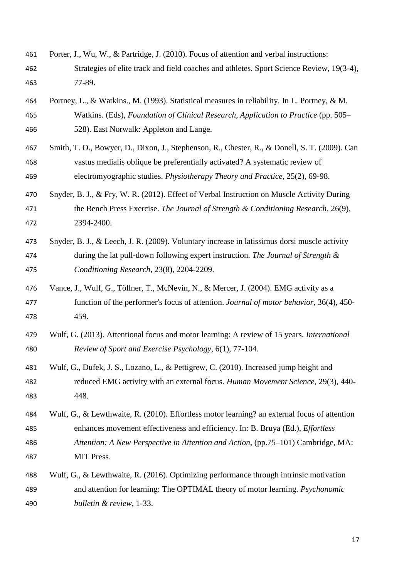- Porter, J., Wu, W., & Partridge, J. (2010). Focus of attention and verbal instructions: Strategies of elite track and field coaches and athletes. Sport Science Review, 19(3-4), 77-89.
- Portney, L., & Watkins., M. (1993). Statistical measures in reliability. In L. Portney, & M. Watkins. (Eds), *Foundation of Clinical Research, Application to Practice* (pp. 505– 528). East Norwalk: Appleton and Lange.
- Smith, T. O., Bowyer, D., Dixon, J., Stephenson, R., Chester, R., & Donell, S. T. (2009). Can vastus medialis oblique be preferentially activated? A systematic review of electromyographic studies. *Physiotherapy Theory and Practice*, 25(2), 69-98.
- Snyder, B. J., & Fry, W. R. (2012). Effect of Verbal Instruction on Muscle Activity During the Bench Press Exercise. *The Journal of Strength & Conditioning Research*, 26(9), 2394-2400.
- Snyder, B. J., & Leech, J. R. (2009). Voluntary increase in latissimus dorsi muscle activity during the lat pull-down following expert instruction. *The Journal of Strength & Conditioning Research*, 23(8), 2204-2209.
- Vance, J., Wulf, G., Töllner, T., McNevin, N., & Mercer, J. (2004). EMG activity as a function of the performer's focus of attention. *Journal of motor behavior*, 36(4), 450- 459.
- Wulf, G. (2013). Attentional focus and motor learning: A review of 15 years. *International Review of Sport and Exercise Psychology*, 6(1), 77-104.
- Wulf, G., Dufek, J. S., Lozano, L., & Pettigrew, C. (2010). Increased jump height and reduced EMG activity with an external focus. *Human Movement Science*, 29(3), 440- 448.
- Wulf, G., & Lewthwaite, R. (2010). Effortless motor learning? an external focus of attention enhances movement effectiveness and efficiency. In: B. Bruya (Ed.), *Effortless Attention: A New Perspective in Attention and Action*, (pp.75–101) Cambridge, MA: MIT Press.
- Wulf, G., & Lewthwaite, R. (2016). Optimizing performance through intrinsic motivation and attention for learning: The OPTIMAL theory of motor learning*. Psychonomic bulletin & review*, 1-33.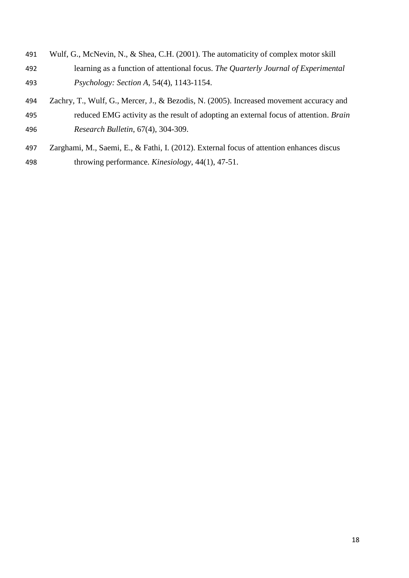- Wulf, G., McNevin, N., & Shea, C.H. (2001). The automaticity of complex motor skill learning as a function of attentional focus. *The Quarterly Journal of Experimental Psychology: Section A*, 54(4), 1143-1154.
- Zachry, T., Wulf, G., Mercer, J., & Bezodis, N. (2005). Increased movement accuracy and reduced EMG activity as the result of adopting an external focus of attention. *Brain Research Bulletin*, 67(4), 304-309.
- Zarghami, M., Saemi, E., & Fathi, I. (2012). External focus of attention enhances discus throwing performance. *Kinesiology*, 44(1), 47-51.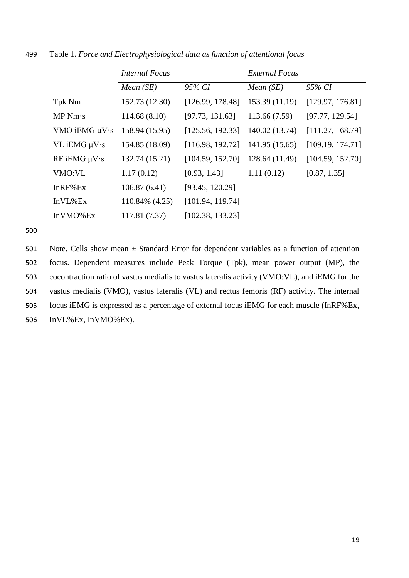|                     | <i>Internal Focus</i> |                  | External Focus |                  |
|---------------------|-----------------------|------------------|----------------|------------------|
|                     | <i>Mean</i> $(SE)$    | 95% CI           | Mean $(SE)$    | 95% CI           |
| Tpk Nm              | 152.73 (12.30)        | [126.99, 178.48] | 153.39 (11.19) | [129.97, 176.81] |
| MP Nm·s             | 114.68(8.10)          | [97.73, 131.63]  | 113.66 (7.59)  | [97.77, 129.54]  |
| VMO iEMG $\mu V$ ·s | 158.94 (15.95)        | [125.56, 192.33] | 140.02 (13.74) | [111.27, 168.79] |
| $VL$ iEMG $\mu V$ s | 154.85 (18.09)        | [116.98, 192.72] | 141.95 (15.65) | [109.19, 174.71] |
| RF iEMG $\mu V$ s   | 132.74 (15.21)        | [104.59, 152.70] | 128.64 (11.49) | [104.59, 152.70] |
| VMO:VL              | 1.17(0.12)            | [0.93, 1.43]     | 1.11(0.12)     | [0.87, 1.35]     |
| InRF%Ex             | 106.87(6.41)          | [93.45, 120.29]  |                |                  |
| InVL%Ex             | 110.84% (4.25)        | [101.94, 119.74] |                |                  |
| InVMO%Ex            | 117.81 (7.37)         | [102.38, 133.23] |                |                  |

499 Table 1. *Force and Electrophysiological data as function of attentional focus*

500

501 Note. Cells show mean  $\pm$  Standard Error for dependent variables as a function of attention focus. Dependent measures include Peak Torque (Tpk), mean power output (MP), the cocontraction ratio of vastus medialis to vastus lateralis activity (VMO:VL), and iEMG for the vastus medialis (VMO), vastus lateralis (VL) and rectus femoris (RF) activity. The internal focus iEMG is expressed as a percentage of external focus iEMG for each muscle (InRF%Ex, InVL%Ex, InVMO%Ex).